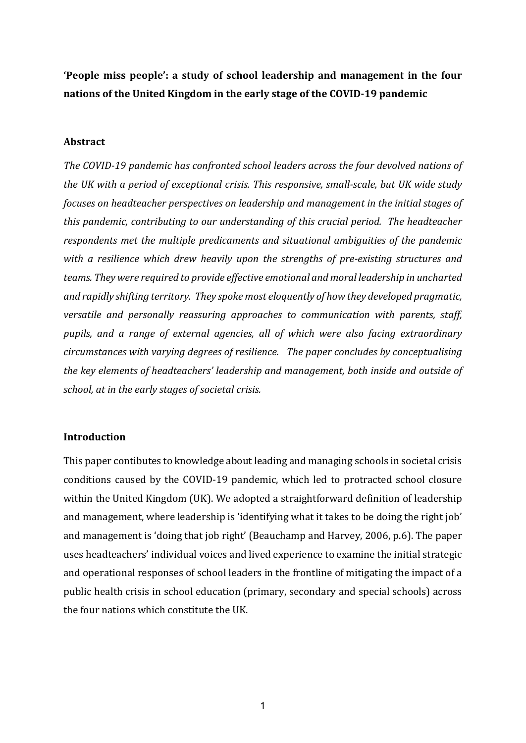**'People miss people': a study of school leadership and management in the four nations of the United Kingdom in the early stage of the COVID-19 pandemic**

## **Abstract**

*The COVID-19 pandemic has confronted school leaders across the four devolved nations of the UK with a period of exceptional crisis. This responsive, small-scale, but UK wide study focuses on headteacher perspectives on leadership and management in the initial stages of this pandemic, contributing to our understanding of this crucial period. The headteacher respondents met the multiple predicaments and situational ambiguities of the pandemic with a resilience which drew heavily upon the strengths of pre-existing structures and teams. They were required to provide effective emotional and moral leadership in uncharted and rapidly shifting territory. They spoke most eloquently of how they developed pragmatic, versatile and personally reassuring approaches to communication with parents, staff, pupils, and a range of external agencies, all of which were also facing extraordinary circumstances with varying degrees of resilience. The paper concludes by conceptualising the key elements of headteachers' leadership and management, both inside and outside of school, at in the early stages of societal crisis.* 

### **Introduction**

This paper contibutes to knowledge about leading and managing schools in societal crisis conditions caused by the COVID-19 pandemic, which led to protracted school closure within the United Kingdom (UK). We adopted a straightforward definition of leadership and management, where leadership is 'identifying what it takes to be doing the right job' and management is 'doing that job right' (Beauchamp and Harvey, 2006, p.6). The paper uses headteachers' individual voices and lived experience to examine the initial strategic and operational responses of school leaders in the frontline of mitigating the impact of a public health crisis in school education (primary, secondary and special schools) across the four nations which constitute the UK.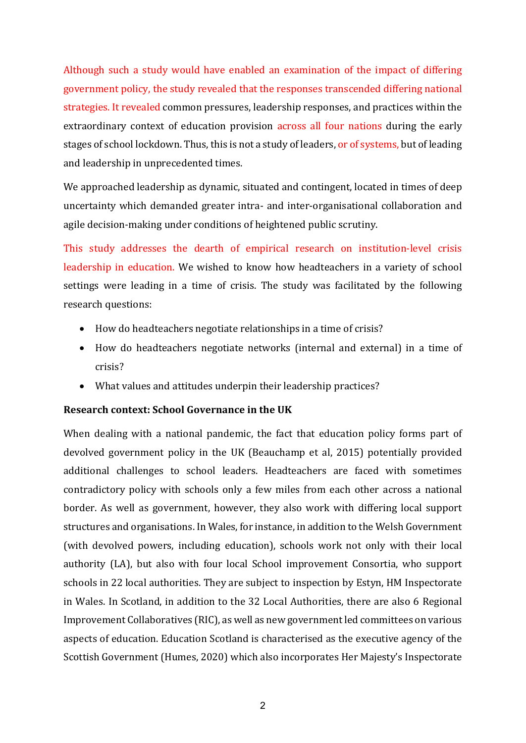Although such a study would have enabled an examination of the impact of differing government policy, the study revealed that the responses transcended differing national strategies. It revealed common pressures, leadership responses, and practices within the extraordinary context of education provision across all four nations during the early stages of school lockdown. Thus, this is not a study of leaders, or of systems, but of leading and leadership in unprecedented times.

We approached leadership as dynamic, situated and contingent, located in times of deep uncertainty which demanded greater intra- and inter-organisational collaboration and agile decision-making under conditions of heightened public scrutiny.

This study addresses the dearth of empirical research on institution-level crisis leadership in education. We wished to know how headteachers in a variety of school settings were leading in a time of crisis. The study was facilitated by the following research questions:

- How do headteachers negotiate relationships in a time of crisis?
- How do headteachers negotiate networks (internal and external) in a time of crisis?
- What values and attitudes underpin their leadership practices?

# **Research context: School Governance in the UK**

When dealing with a national pandemic, the fact that education policy forms part of devolved government policy in the UK (Beauchamp et al, 2015) potentially provided additional challenges to school leaders. Headteachers are faced with sometimes contradictory policy with schools only a few miles from each other across a national border. As well as government, however, they also work with differing local support structures and organisations. In Wales, for instance, in addition to the Welsh Government (with devolved powers, including education), schools work not only with their local authority (LA), but also with four local School improvement Consortia, who support schools in 22 local authorities. They are subject to inspection by Estyn, HM Inspectorate in Wales. In Scotland, in addition to the 32 Local Authorities, there are also 6 Regional Improvement Collaboratives (RIC), as well as new government led committees on various aspects of education. Education Scotland is characterised as the executive agency of the Scottish Government (Humes, 2020) which also incorporates Her Majesty's Inspectorate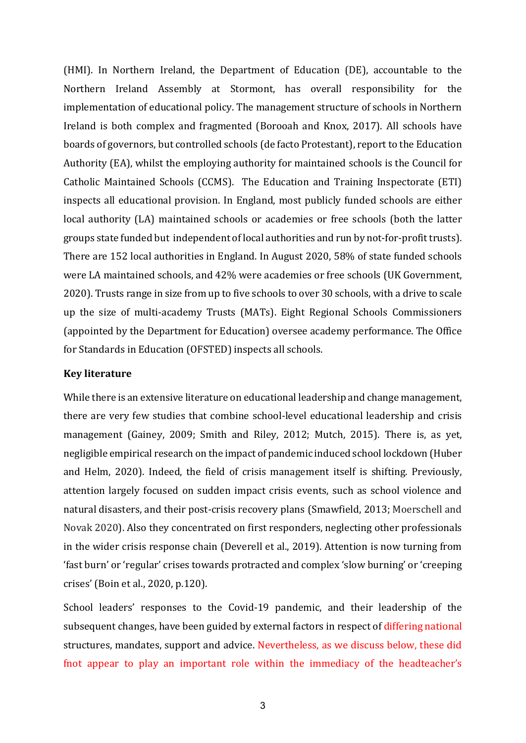(HMI). In Northern Ireland, the Department of Education (DE), accountable to the Northern Ireland Assembly at Stormont, has overall responsibility for the implementation of educational policy. The management structure of schools in Northern Ireland is both complex and fragmented (Borooah and Knox, 2017). All schools have boards of governors, but controlled schools (de facto Protestant), report to the Education Authority (EA), whilst the employing authority for maintained schools is the Council for Catholic Maintained Schools (CCMS). The Education and Training Inspectorate (ETI) inspects all educational provision. In England, most publicly funded schools are either local authority (LA) maintained schools or academies or free schools (both the latter groups state funded but independent of local authorities and run by not-for-profit trusts). There are 152 local authorities in England. In August 2020, 58% of state funded schools were LA maintained schools, and 42% were academies or free schools (UK Government, 2020). Trusts range in size from up to five schools to over 30 schools, with a drive to scale up the size of multi-academy Trusts (MATs). Eight Regional Schools Commissioners (appointed by the Department for Education) oversee academy performance. The Office for Standards in Education (OFSTED) inspects all schools.

#### **Key literature**

While there is an extensive literature on educational leadership and change management, there are very few studies that combine school-level educational leadership and crisis management (Gainey, 2009; Smith and Riley, 2012; Mutch, 2015). There is, as yet, negligible empirical research on the impact of pandemic induced school lockdown (Huber and Helm, 2020). Indeed, the field of crisis management itself is shifting. Previously, attention largely focused on sudden impact crisis events, such as school violence and natural disasters, and their post-crisis recovery plans (Smawfield, 2013; Moerschell and Novak 2020). Also they concentrated on first responders, neglecting other professionals in the wider crisis response chain (Deverell et al., 2019). Attention is now turning from 'fast burn' or 'regular' crises towards protracted and complex 'slow burning' or 'creeping crises' (Boin et al., 2020, p.120).

School leaders' responses to the Covid-19 pandemic, and their leadership of the subsequent changes, have been guided by external factors in respect of differing national structures, mandates, support and advice. Nevertheless, as we discuss below, these did fnot appear to play an important role within the immediacy of the headteacher's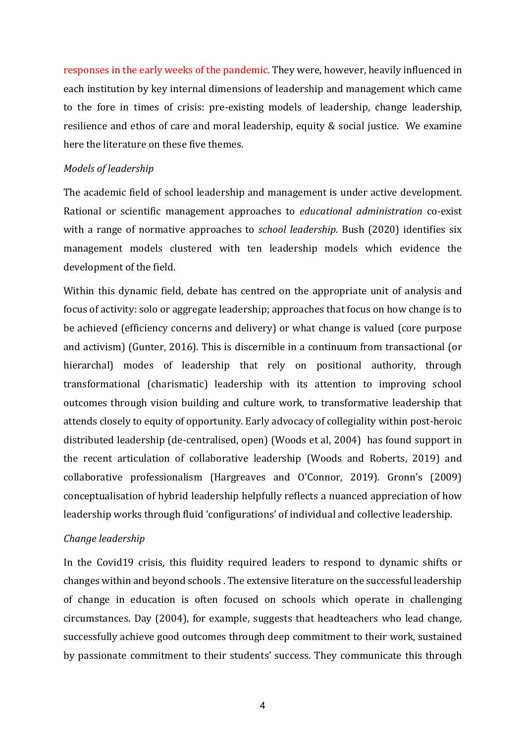responses in the early weeks of the pandemic. They were, however, heavily influenced in each institution by key internal dimensions of leadership and management which came to the fore in times of crisis: pre-existing models of leadership, change leadership, resilience and ethos of care and moral leadership, equity & social justice. We examine here the literature on these five themes.

## *Models of leadership*

The academic field of school leadership and management is under active development. Rational or scientific management approaches to *educational administration* co-exist with a range of normative approaches to *school leadership*. Bush (2020) identifies six management models clustered with ten leadership models which evidence the development of the field.

Within this dynamic field, debate has centred on the appropriate unit of analysis and focus of activity: solo or aggregate leadership; approaches that focus on how change is to be achieved (efficiency concerns and delivery) or what change is valued (core purpose and activism) (Gunter, 2016). This is discernible in a continuum from transactional (or hierarchal) modes of leadership that rely on positional authority, through transformational (charismatic) leadership with its attention to improving school outcomes through vision building and culture work, to transformative leadership that attends closely to equity of opportunity. Early advocacy of collegiality within post-heroic distributed leadership (de-centralised, open) (Woods et al, 2004) has found support in the recent articulation of collaborative leadership (Woods and Roberts, 2019) and collaborative professionalism (Hargreaves and O'Connor, 2019). Gronn's (2009) conceptualisation of hybrid leadership helpfully reflects a nuanced appreciation of how leadership works through fluid 'configurations' of individual and collective leadership.

### *Change leadership*

In the Covid19 crisis, this fluidity required leaders to respond to dynamic shifts or changes within and beyond schools . The extensive literature on the successful leadership of change in education is often focused on schools which operate in challenging circumstances. Day (2004), for example, suggests that headteachers who lead change, successfully achieve good outcomes through deep commitment to their work, sustained by passionate commitment to their students' success. They communicate this through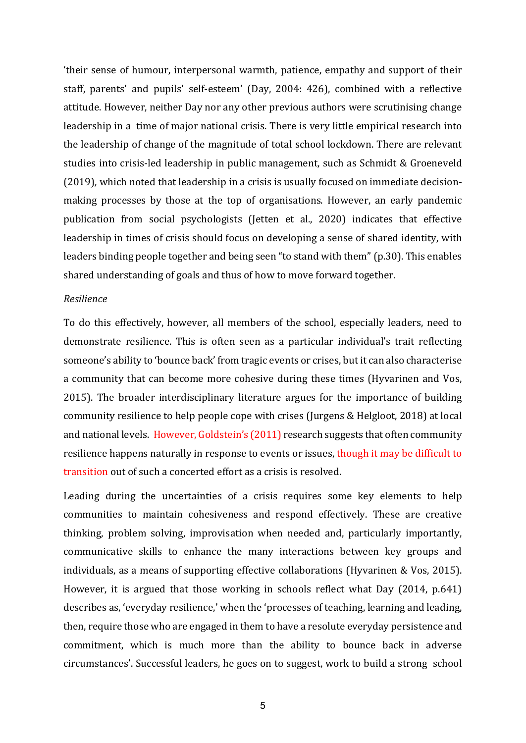'their sense of humour, interpersonal warmth, patience, empathy and support of their staff, parents' and pupils' self-esteem' (Day, 2004: 426), combined with a reflective attitude. However, neither Day nor any other previous authors were scrutinising change leadership in a time of major national crisis. There is very little empirical research into the leadership of change of the magnitude of total school lockdown. There are relevant studies into crisis-led leadership in public management, such as Schmidt & Groeneveld (2019), which noted that leadership in a crisis is usually focused on immediate decisionmaking processes by those at the top of organisations. However, an early pandemic publication from social psychologists (Jetten et al., 2020) indicates that effective leadership in times of crisis should focus on developing a sense of shared identity, with leaders binding people together and being seen "to stand with them" (p.30). This enables shared understanding of goals and thus of how to move forward together.

#### *Resilience*

To do this effectively, however, all members of the school, especially leaders, need to demonstrate resilience. This is often seen as a particular individual's trait reflecting someone's ability to 'bounce back' from tragic events or crises, but it can also characterise a community that can become more cohesive during these times (Hyvarinen and Vos, 2015). The broader interdisciplinary literature argues for the importance of building community resilience to help people cope with crises (Jurgens & Helgloot, 2018) at local and national levels. However, Goldstein's (2011) research suggests that often community resilience happens naturally in response to events or issues, though it may be difficult to transition out of such a concerted effort as a crisis is resolved.

Leading during the uncertainties of a crisis requires some key elements to help communities to maintain cohesiveness and respond effectively. These are creative thinking, problem solving, improvisation when needed and, particularly importantly, communicative skills to enhance the many interactions between key groups and individuals, as a means of supporting effective collaborations (Hyvarinen & Vos, 2015). However, it is argued that those working in schools reflect what Day (2014, p.641) describes as, 'everyday resilience,' when the 'processes of teaching, learning and leading, then, require those who are engaged in them to have a resolute everyday persistence and commitment, which is much more than the ability to bounce back in adverse circumstances'. Successful leaders, he goes on to suggest, work to build a strong school

5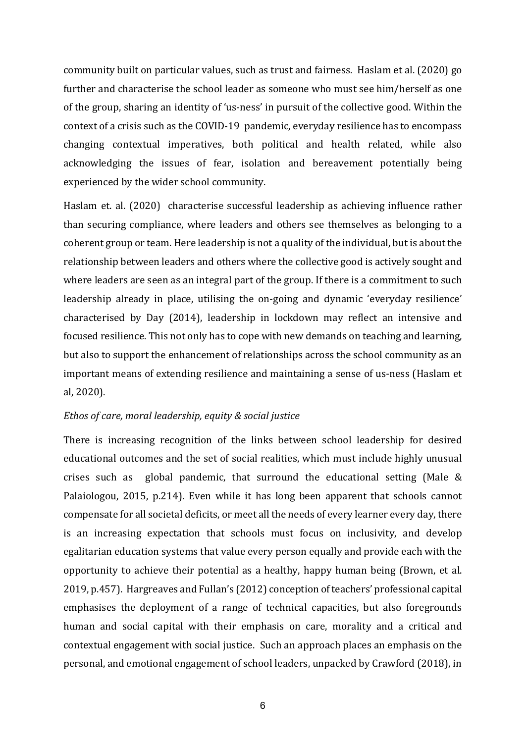community built on particular values, such as trust and fairness. Haslam et al. (2020) go further and characterise the school leader as someone who must see him/herself as one of the group, sharing an identity of 'us-ness' in pursuit of the collective good. Within the context of a crisis such as the COVID-19 pandemic, everyday resilience has to encompass changing contextual imperatives, both political and health related, while also acknowledging the issues of fear, isolation and bereavement potentially being experienced by the wider school community.

Haslam et. al. (2020) characterise successful leadership as achieving influence rather than securing compliance, where leaders and others see themselves as belonging to a coherent group or team. Here leadership is not a quality of the individual, but is about the relationship between leaders and others where the collective good is actively sought and where leaders are seen as an integral part of the group. If there is a commitment to such leadership already in place, utilising the on-going and dynamic 'everyday resilience' characterised by Day (2014), leadership in lockdown may reflect an intensive and focused resilience. This not only has to cope with new demands on teaching and learning, but also to support the enhancement of relationships across the school community as an important means of extending resilience and maintaining a sense of us-ness (Haslam et al, 2020).

#### *Ethos of care, moral leadership, equity & social justice*

There is increasing recognition of the links between school leadership for desired educational outcomes and the set of social realities, which must include highly unusual crises such as global pandemic, that surround the educational setting (Male & Palaiologou, 2015, p.214). Even while it has long been apparent that schools cannot compensate for all societal deficits, or meet all the needs of every learner every day, there is an increasing expectation that schools must focus on inclusivity, and develop egalitarian education systems that value every person equally and provide each with the opportunity to achieve their potential as a healthy, happy human being (Brown, et al. 2019, p.457). Hargreaves and Fullan's (2012) conception of teachers' professional capital emphasises the deployment of a range of technical capacities, but also foregrounds human and social capital with their emphasis on care, morality and a critical and contextual engagement with social justice. Such an approach places an emphasis on the personal, and emotional engagement of school leaders, unpacked by Crawford (2018), in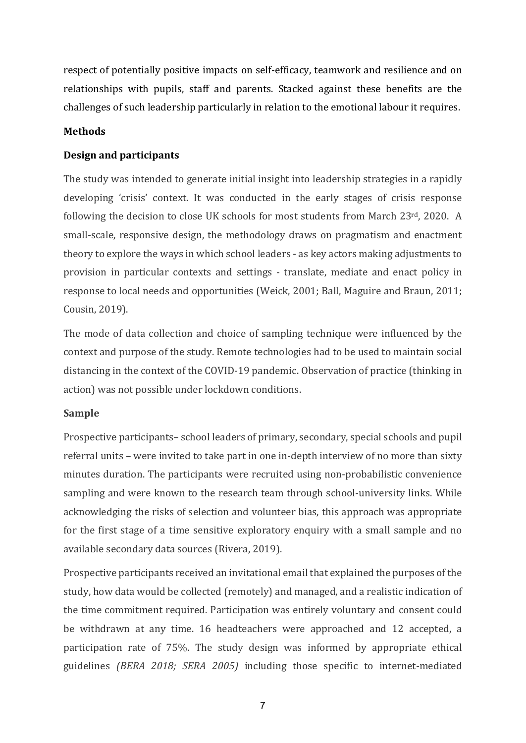respect of potentially positive impacts on self-efficacy, teamwork and resilience and on relationships with pupils, staff and parents. Stacked against these benefits are the challenges of such leadership particularly in relation to the emotional labour it requires.

## **Methods**

## **Design and participants**

The study was intended to generate initial insight into leadership strategies in a rapidly developing 'crisis' context. It was conducted in the early stages of crisis response following the decision to close UK schools for most students from March 23rd, 2020. A small-scale, responsive design, the methodology draws on pragmatism and enactment theory to explore the ways in which school leaders - as key actors making adjustments to provision in particular contexts and settings - translate, mediate and enact policy in response to local needs and opportunities (Weick, 2001; Ball, Maguire and Braun, 2011; Cousin, 2019).

The mode of data collection and choice of sampling technique were influenced by the context and purpose of the study. Remote technologies had to be used to maintain social distancing in the context of the COVID-19 pandemic. Observation of practice (thinking in action) was not possible under lockdown conditions.

### **Sample**

Prospective participants– school leaders of primary, secondary, special schools and pupil referral units – were invited to take part in one in-depth interview of no more than sixty minutes duration. The participants were recruited using non-probabilistic convenience sampling and were known to the research team through school-university links. While acknowledging the risks of selection and volunteer bias, this approach was appropriate for the first stage of a time sensitive exploratory enquiry with a small sample and no available secondary data sources (Rivera, 2019).

Prospective participants received an invitational email that explained the purposes of the study, how data would be collected (remotely) and managed, and a realistic indication of the time commitment required. Participation was entirely voluntary and consent could be withdrawn at any time. 16 headteachers were approached and 12 accepted, a participation rate of 75%. The study design was informed by appropriate ethical guidelines *(BERA 2018; SERA 2005)* including those specific to internet-mediated

7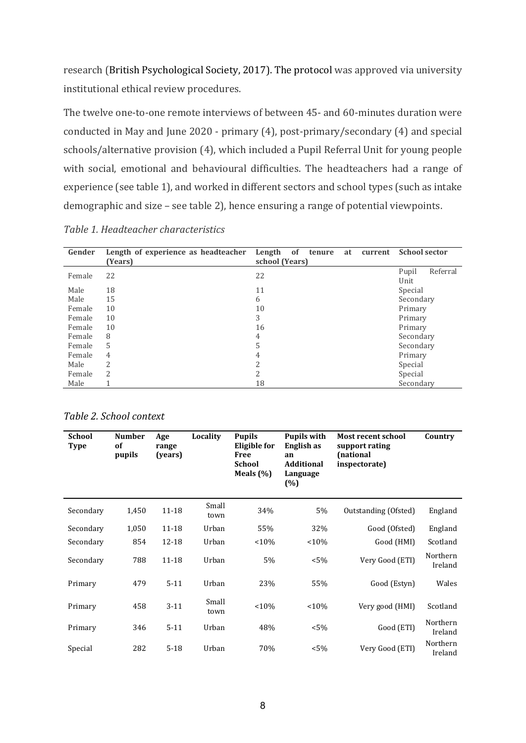research (British Psychological Society, 2017). The protocol was approved via university institutional ethical review procedures.

The twelve one-to-one remote interviews of between 45- and 60-minutes duration were conducted in May and June 2020 - primary (4), post-primary/secondary (4) and special schools/alternative provision (4), which included a Pupil Referral Unit for young people with social, emotional and behavioural difficulties. The headteachers had a range of experience (see table 1), and worked in different sectors and school types (such as intake demographic and size – see table 2), hence ensuring a range of potential viewpoints.

*Table 1. Headteacher characteristics*

| Gender | Length of experience as headteacher<br>(Years) | of<br>Length<br>tenure<br>at<br>current<br>school (Years) | <b>School sector</b> |
|--------|------------------------------------------------|-----------------------------------------------------------|----------------------|
|        |                                                |                                                           | Referral<br>Pupil    |
| Female | 22                                             | 22                                                        |                      |
|        |                                                |                                                           | Unit                 |
| Male   | 18                                             | 11                                                        | Special              |
| Male   | 15                                             | 6                                                         | Secondary            |
| Female | 10                                             | 10                                                        | Primary              |
| Female | 10                                             | 3                                                         | Primary              |
| Female | 10                                             | 16                                                        | Primary              |
| Female | 8                                              | 4                                                         | Secondary            |
| Female | 5                                              | 5                                                         | Secondary            |
| Female | 4                                              | 4                                                         | Primary              |
| Male   | 2                                              | 2                                                         | Special              |
| Female | $\overline{2}$                                 | $\overline{2}$                                            | Special              |
| Male   |                                                | 18                                                        | Secondary            |

*Table 2. School context*

| School<br><b>Type</b> | <b>Number</b><br>of<br>pupils | Age<br>range<br>(years) | Locality      | <b>Pupils</b><br>Eligible for<br><b>Free</b><br><b>School</b><br>Meals $(\% )$ | <b>Pupils with</b><br>English as<br>an<br><b>Additional</b><br>Language<br>(%) | Most recent school<br>support rating<br>(national<br>inspectorate) | Country             |
|-----------------------|-------------------------------|-------------------------|---------------|--------------------------------------------------------------------------------|--------------------------------------------------------------------------------|--------------------------------------------------------------------|---------------------|
| Secondary             | 1,450                         | 11-18                   | Small<br>town | 34%                                                                            | 5%                                                                             | Outstanding (Ofsted)                                               | England             |
| Secondary             | 1,050                         | 11-18                   | Urban         | 55%                                                                            | 32%                                                                            | Good (Ofsted)                                                      | England             |
| Secondary             | 854                           | 12-18                   | Urban         | <10%                                                                           | < 10%                                                                          | Good (HMI)                                                         | Scotland            |
| Secondary             | 788                           | 11-18                   | Urban         | 5%                                                                             | $< 5\%$                                                                        | Very Good (ETI)                                                    | Northern<br>Ireland |
| Primary               | 479                           | $5 - 11$                | Urban         | 23%                                                                            | 55%                                                                            | Good (Estyn)                                                       | Wales               |
| Primary               | 458                           | $3 - 11$                | Small<br>town | < 10%                                                                          | < 10%                                                                          | Very good (HMI)                                                    | Scotland            |
| Primary               | 346                           | $5 - 11$                | Urban         | 48%                                                                            | $< 5\%$                                                                        | Good (ETI)                                                         | Northern<br>Ireland |
| Special               | 282                           | $5 - 18$                | Urban         | 70%                                                                            | $< 5\%$                                                                        | Very Good (ETI)                                                    | Northern<br>Ireland |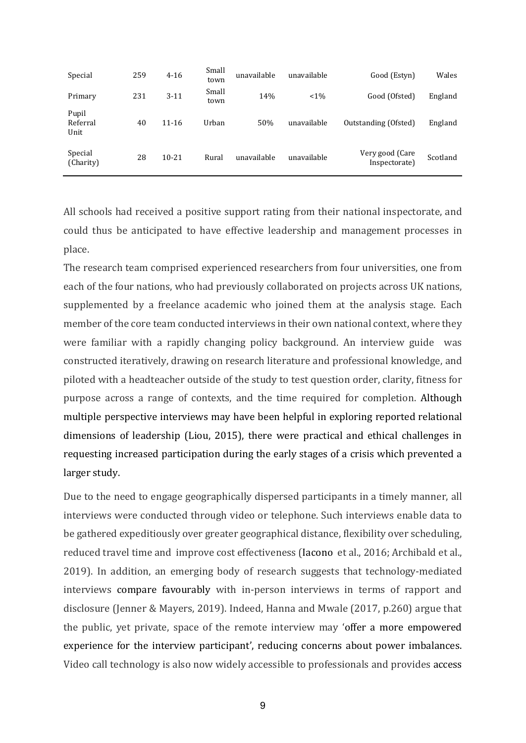| Special                   | 259 | $4 - 16$  | Small<br>town | unavailable | unavailable | Good (Estyn)                     | Wales    |
|---------------------------|-----|-----------|---------------|-------------|-------------|----------------------------------|----------|
| Primary                   | 231 | $3 - 11$  | Small<br>town | 14%         | $< 1\%$     | Good (Ofsted)                    | England  |
| Pupil<br>Referral<br>Unit | 40  | 11-16     | Urban         | 50%         | unavailable | Outstanding (Ofsted)             | England  |
| Special<br>(Charity)      | 28  | $10 - 21$ | Rural         | unavailable | unavailable | Very good (Care<br>Inspectorate) | Scotland |

All schools had received a positive support rating from their national inspectorate, and could thus be anticipated to have effective leadership and management processes in place.

The research team comprised experienced researchers from four universities, one from each of the four nations, who had previously collaborated on projects across UK nations, supplemented by a freelance academic who joined them at the analysis stage. Each member of the core team conducted interviews in their own national context, where they were familiar with a rapidly changing policy background. An interview guide was constructed iteratively, drawing on research literature and professional knowledge, and piloted with a headteacher outside of the study to test question order, clarity, fitness for purpose across a range of contexts, and the time required for completion. Although multiple perspective interviews may have been helpful in exploring reported relational dimensions of leadership (Liou, 2015), there were practical and ethical challenges in requesting increased participation during the early stages of a crisis which prevented a larger study.

Due to the need to engage geographically dispersed participants in a timely manner, all interviews were conducted through video or telephone. Such interviews enable data to be gathered expeditiously over greater geographical distance, flexibility over scheduling, reduced travel time and improve cost effectiveness (Iacono et al., 2016; Archibald et al., 2019). In addition, an emerging body of research suggests that technology-mediated interviews compare favourably with in-person interviews in terms of rapport and disclosure (Jenner & Mayers, 2019). Indeed, Hanna and Mwale (2017, p.260) argue that the public, yet private, space of the remote interview may 'offer a more empowered experience for the interview participant', reducing concerns about power imbalances. Video call technology is also now widely accessible to professionals and provides access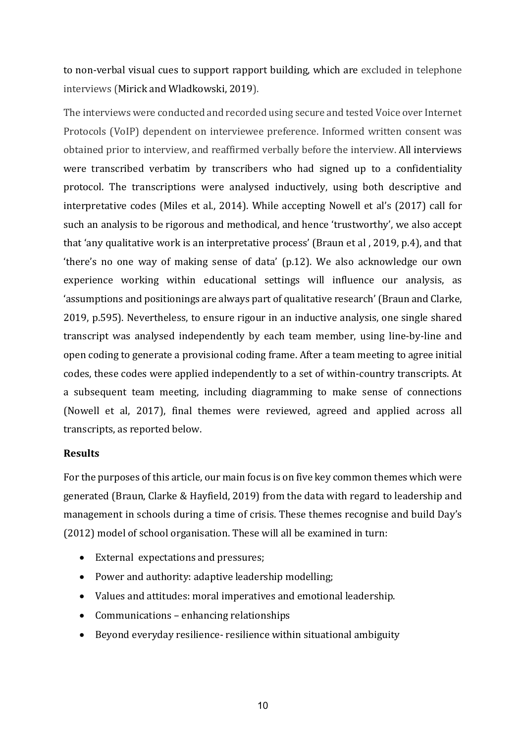to non-verbal visual cues to support rapport building, which are excluded in telephone interviews (Mirick and Wladkowski, 2019).

The interviews were conducted and recorded using secure and tested Voice over Internet Protocols (VoIP) dependent on interviewee preference. Informed written consent was obtained prior to interview, and reaffirmed verbally before the interview. All interviews were transcribed verbatim by transcribers who had signed up to a confidentiality protocol. The transcriptions were analysed inductively, using both descriptive and interpretative codes (Miles et al., 2014). While accepting Nowell et al's (2017) call for such an analysis to be rigorous and methodical, and hence 'trustworthy', we also accept that 'any qualitative work is an interpretative process' (Braun et al , 2019, p.4), and that 'there's no one way of making sense of data' (p.12). We also acknowledge our own experience working within educational settings will influence our analysis, as 'assumptions and positionings are always part of qualitative research' (Braun and Clarke, 2019, p.595). Nevertheless, to ensure rigour in an inductive analysis, one single shared transcript was analysed independently by each team member, using line-by-line and open coding to generate a provisional coding frame. After a team meeting to agree initial codes, these codes were applied independently to a set of within-country transcripts. At a subsequent team meeting, including diagramming to make sense of connections (Nowell et al, 2017), final themes were reviewed, agreed and applied across all transcripts, as reported below.

### **Results**

For the purposes of this article, our main focus is on five key common themes which were generated (Braun, Clarke & Hayfield, 2019) from the data with regard to leadership and management in schools during a time of crisis. These themes recognise and build Day's (2012) model of school organisation. These will all be examined in turn:

- External expectations and pressures;
- Power and authority: adaptive leadership modelling;
- Values and attitudes: moral imperatives and emotional leadership.
- Communications enhancing relationships
- Beyond everyday resilience- resilience within situational ambiguity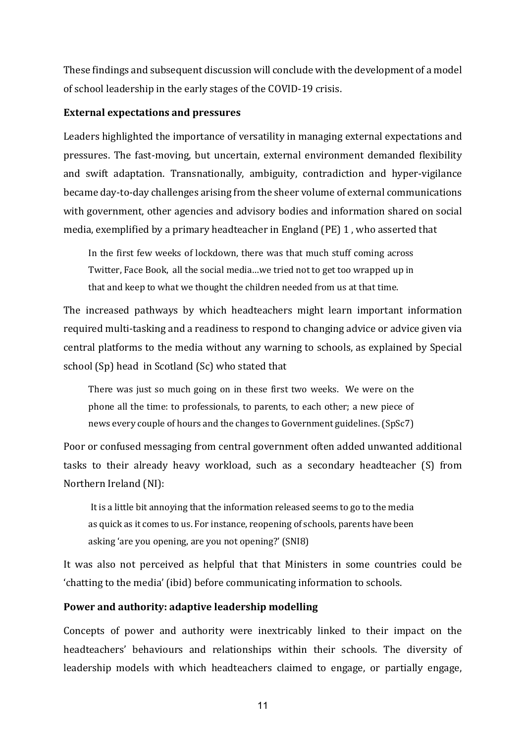These findings and subsequent discussion will conclude with the development of a model of school leadership in the early stages of the COVID-19 crisis.

## **External expectations and pressures**

Leaders highlighted the importance of versatility in managing external expectations and pressures. The fast-moving, but uncertain, external environment demanded flexibility and swift adaptation. Transnationally, ambiguity, contradiction and hyper-vigilance became day-to-day challenges arising from the sheer volume of external communications with government, other agencies and advisory bodies and information shared on social media, exemplified by a primary headteacher in England (PE) 1 , who asserted that

In the first few weeks of lockdown, there was that much stuff coming across Twitter, Face Book, all the social media…we tried not to get too wrapped up in that and keep to what we thought the children needed from us at that time.

The increased pathways by which headteachers might learn important information required multi-tasking and a readiness to respond to changing advice or advice given via central platforms to the media without any warning to schools, as explained by Special school (Sp) head in Scotland (Sc) who stated that

There was just so much going on in these first two weeks. We were on the phone all the time: to professionals, to parents, to each other; a new piece of news every couple of hours and the changes to Government guidelines. (SpSc7)

Poor or confused messaging from central government often added unwanted additional tasks to their already heavy workload, such as a secondary headteacher (S) from Northern Ireland (NI):

It is a little bit annoying that the information released seems to go to the media as quick as it comes to us. For instance, reopening of schools, parents have been asking 'are you opening, are you not opening?' (SNI8)

It was also not perceived as helpful that that Ministers in some countries could be 'chatting to the media' (ibid) before communicating information to schools.

# **Power and authority: adaptive leadership modelling**

Concepts of power and authority were inextricably linked to their impact on the headteachers' behaviours and relationships within their schools. The diversity of leadership models with which headteachers claimed to engage, or partially engage,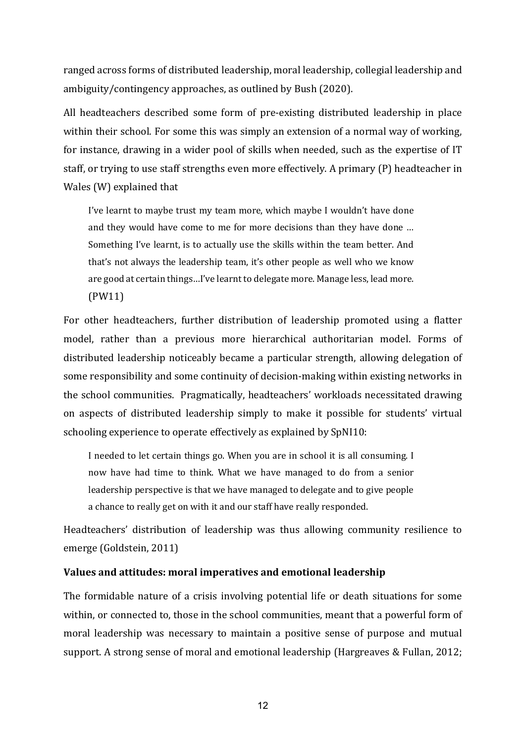ranged across forms of distributed leadership, moral leadership, collegial leadership and ambiguity/contingency approaches, as outlined by Bush (2020).

All headteachers described some form of pre-existing distributed leadership in place within their school. For some this was simply an extension of a normal way of working, for instance, drawing in a wider pool of skills when needed, such as the expertise of IT staff, or trying to use staff strengths even more effectively. A primary (P) headteacher in Wales (W) explained that

I've learnt to maybe trust my team more, which maybe I wouldn't have done and they would have come to me for more decisions than they have done … Something I've learnt, is to actually use the skills within the team better. And that's not always the leadership team, it's other people as well who we know are good at certain things…I've learnt to delegate more. Manage less, lead more. (PW11)

For other headteachers, further distribution of leadership promoted using a flatter model, rather than a previous more hierarchical authoritarian model. Forms of distributed leadership noticeably became a particular strength, allowing delegation of some responsibility and some continuity of decision-making within existing networks in the school communities. Pragmatically, headteachers' workloads necessitated drawing on aspects of distributed leadership simply to make it possible for students' virtual schooling experience to operate effectively as explained by SpNI10:

I needed to let certain things go. When you are in school it is all consuming. I now have had time to think. What we have managed to do from a senior leadership perspective is that we have managed to delegate and to give people a chance to really get on with it and our staff have really responded.

Headteachers' distribution of leadership was thus allowing community resilience to emerge (Goldstein, 2011)

#### **Values and attitudes: moral imperatives and emotional leadership**

The formidable nature of a crisis involving potential life or death situations for some within, or connected to, those in the school communities, meant that a powerful form of moral leadership was necessary to maintain a positive sense of purpose and mutual support. A strong sense of moral and emotional leadership (Hargreaves & Fullan, 2012;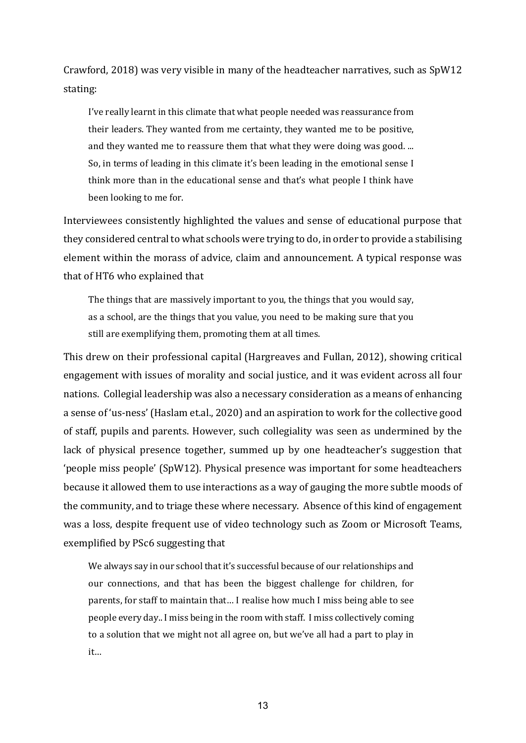Crawford, 2018) was very visible in many of the headteacher narratives, such as SpW12 stating:

I've really learnt in this climate that what people needed was reassurance from their leaders. They wanted from me certainty, they wanted me to be positive, and they wanted me to reassure them that what they were doing was good. ... So, in terms of leading in this climate it's been leading in the emotional sense I think more than in the educational sense and that's what people I think have been looking to me for.

Interviewees consistently highlighted the values and sense of educational purpose that they considered central to what schools were trying to do, in order to provide a stabilising element within the morass of advice, claim and announcement. A typical response was that of HT6 who explained that

The things that are massively important to you, the things that you would say, as a school, are the things that you value, you need to be making sure that you still are exemplifying them, promoting them at all times.

This drew on their professional capital (Hargreaves and Fullan, 2012), showing critical engagement with issues of morality and social justice, and it was evident across all four nations. Collegial leadership was also a necessary consideration as a means of enhancing a sense of 'us-ness' (Haslam et.al., 2020) and an aspiration to work for the collective good of staff, pupils and parents. However, such collegiality was seen as undermined by the lack of physical presence together, summed up by one headteacher's suggestion that 'people miss people' (SpW12). Physical presence was important for some headteachers because it allowed them to use interactions as a way of gauging the more subtle moods of the community, and to triage these where necessary. Absence of this kind of engagement was a loss, despite frequent use of video technology such as Zoom or Microsoft Teams, exemplified by PSc6 suggesting that

We always say in our school that it's successful because of our relationships and our connections, and that has been the biggest challenge for children, for parents, for staff to maintain that… I realise how much I miss being able to see people every day.. I miss being in the room with staff. I miss collectively coming to a solution that we might not all agree on, but we've all had a part to play in it…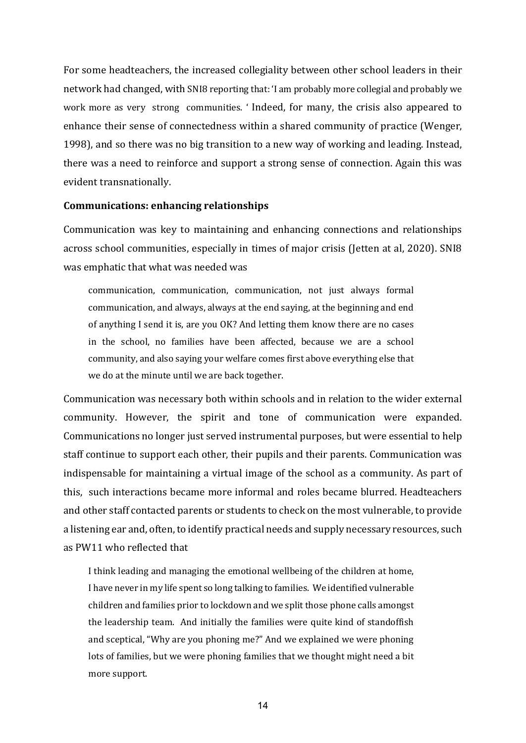For some headteachers, the increased collegiality between other school leaders in their network had changed, with SNI8 reporting that: 'I am probably more collegial and probably we work more as very strong communities. ' Indeed, for many, the crisis also appeared to enhance their sense of connectedness within a shared community of practice (Wenger, 1998), and so there was no big transition to a new way of working and leading. Instead, there was a need to reinforce and support a strong sense of connection. Again this was evident transnationally.

#### **Communications: enhancing relationships**

Communication was key to maintaining and enhancing connections and relationships across school communities, especially in times of major crisis (Jetten at al, 2020). SNI8 was emphatic that what was needed was

communication, communication, communication, not just always formal communication, and always, always at the end saying, at the beginning and end of anything I send it is, are you OK? And letting them know there are no cases in the school, no families have been affected, because we are a school community, and also saying your welfare comes first above everything else that we do at the minute until we are back together.

Communication was necessary both within schools and in relation to the wider external community. However, the spirit and tone of communication were expanded. Communications no longer just served instrumental purposes, but were essential to help staff continue to support each other, their pupils and their parents. Communication was indispensable for maintaining a virtual image of the school as a community. As part of this, such interactions became more informal and roles became blurred. Headteachers and other staff contacted parents or students to check on the most vulnerable, to provide a listening ear and, often, to identify practical needs and supply necessary resources, such as PW11 who reflected that

I think leading and managing the emotional wellbeing of the children at home, I have never in my life spent so long talking to families. We identified vulnerable children and families prior to lockdown and we split those phone calls amongst the leadership team. And initially the families were quite kind of standoffish and sceptical, "Why are you phoning me?" And we explained we were phoning lots of families, but we were phoning families that we thought might need a bit more support.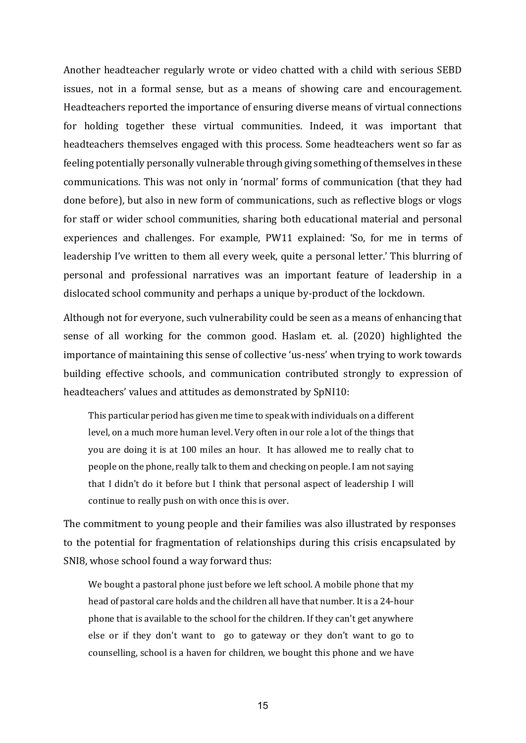Another headteacher regularly wrote or video chatted with a child with serious SEBD issues, not in a formal sense, but as a means of showing care and encouragement. Headteachers reported the importance of ensuring diverse means of virtual connections for holding together these virtual communities. Indeed, it was important that headteachers themselves engaged with this process. Some headteachers went so far as feeling potentially personally vulnerable through giving something of themselves in these communications. This was not only in 'normal' forms of communication (that they had done before), but also in new form of communications, such as reflective blogs or vlogs for staff or wider school communities, sharing both educational material and personal experiences and challenges. For example, PW11 explained: 'So, for me in terms of leadership I've written to them all every week, quite a personal letter.' This blurring of personal and professional narratives was an important feature of leadership in a dislocated school community and perhaps a unique by-product of the lockdown.

Although not for everyone, such vulnerability could be seen as a means of enhancing that sense of all working for the common good. Haslam et. al. (2020) highlighted the importance of maintaining this sense of collective 'us-ness' when trying to work towards building effective schools, and communication contributed strongly to expression of headteachers' values and attitudes as demonstrated by SpNI10:

This particular period has given me time to speak with individuals on a different level, on a much more human level. Very often in our role a lot of the things that you are doing it is at 100 miles an hour. It has allowed me to really chat to people on the phone, really talk to them and checking on people. I am not saying that I didn't do it before but I think that personal aspect of leadership I will continue to really push on with once this is over.

The commitment to young people and their families was also illustrated by responses to the potential for fragmentation of relationships during this crisis encapsulated by SNI8, whose school found a way forward thus:

We bought a pastoral phone just before we left school. A mobile phone that my head of pastoral care holds and the children all have that number. It is a 24-hour phone that is available to the school for the children. If they can't get anywhere else or if they don't want to go to gateway or they don't want to go to counselling, school is a haven for children, we bought this phone and we have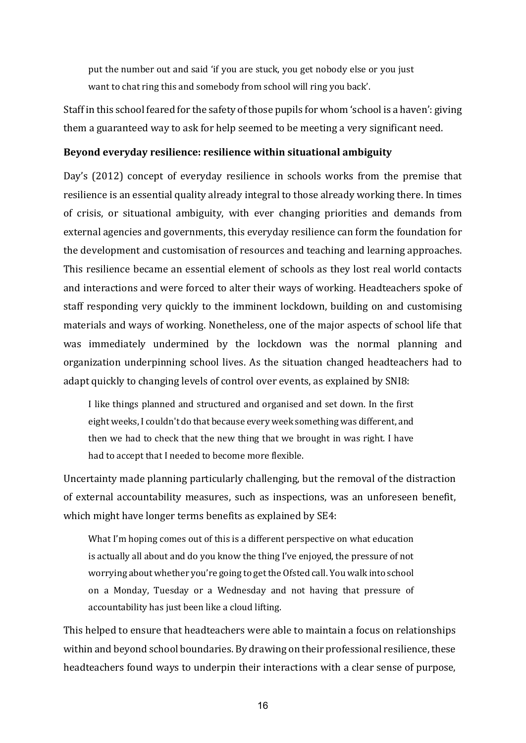put the number out and said 'if you are stuck, you get nobody else or you just want to chat ring this and somebody from school will ring you back'.

Staff in this school feared for the safety of those pupils for whom 'school is a haven': giving them a guaranteed way to ask for help seemed to be meeting a very significant need.

#### **Beyond everyday resilience: resilience within situational ambiguity**

Day's (2012) concept of everyday resilience in schools works from the premise that resilience is an essential quality already integral to those already working there. In times of crisis, or situational ambiguity, with ever changing priorities and demands from external agencies and governments, this everyday resilience can form the foundation for the development and customisation of resources and teaching and learning approaches. This resilience became an essential element of schools as they lost real world contacts and interactions and were forced to alter their ways of working. Headteachers spoke of staff responding very quickly to the imminent lockdown, building on and customising materials and ways of working. Nonetheless, one of the major aspects of school life that was immediately undermined by the lockdown was the normal planning and organization underpinning school lives. As the situation changed headteachers had to adapt quickly to changing levels of control over events, as explained by SNI8:

I like things planned and structured and organised and set down. In the first eight weeks, I couldn't do that because every week something was different, and then we had to check that the new thing that we brought in was right. I have had to accept that I needed to become more flexible.

Uncertainty made planning particularly challenging, but the removal of the distraction of external accountability measures, such as inspections, was an unforeseen benefit, which might have longer terms benefits as explained by SE4:

What I'm hoping comes out of this is a different perspective on what education is actually all about and do you know the thing I've enjoyed, the pressure of not worrying about whether you're going to get the Ofsted call. You walk into school on a Monday, Tuesday or a Wednesday and not having that pressure of accountability has just been like a cloud lifting.

This helped to ensure that headteachers were able to maintain a focus on relationships within and beyond school boundaries. By drawing on their professional resilience, these headteachers found ways to underpin their interactions with a clear sense of purpose,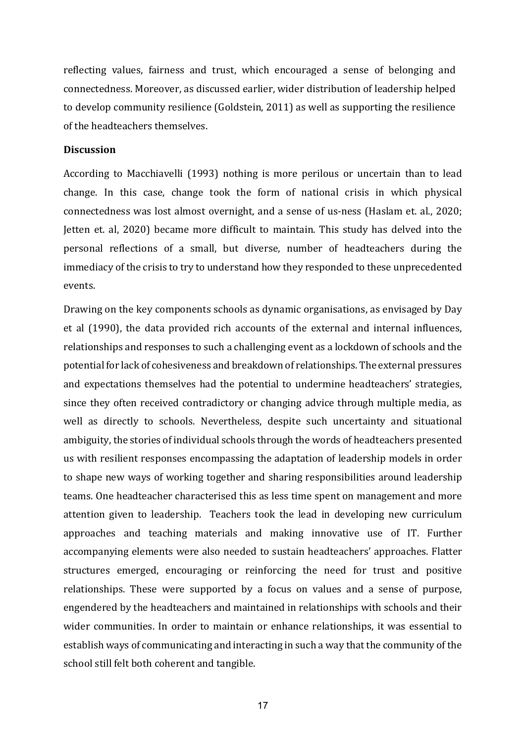reflecting values, fairness and trust, which encouraged a sense of belonging and connectedness. Moreover, as discussed earlier, wider distribution of leadership helped to develop community resilience (Goldstein, 2011) as well as supporting the resilience of the headteachers themselves.

### **Discussion**

According to Macchiavelli (1993) nothing is more perilous or uncertain than to lead change. In this case, change took the form of national crisis in which physical connectedness was lost almost overnight, and a sense of us-ness (Haslam et. al., 2020; Jetten et. al, 2020) became more difficult to maintain. This study has delved into the personal reflections of a small, but diverse, number of headteachers during the immediacy of the crisis to try to understand how they responded to these unprecedented events.

Drawing on the key components schools as dynamic organisations, as envisaged by Day et al (1990), the data provided rich accounts of the external and internal influences, relationships and responses to such a challenging event as a lockdown of schools and the potential for lack of cohesiveness and breakdown of relationships. The external pressures and expectations themselves had the potential to undermine headteachers' strategies, since they often received contradictory or changing advice through multiple media, as well as directly to schools. Nevertheless, despite such uncertainty and situational ambiguity, the stories of individual schools through the words of headteachers presented us with resilient responses encompassing the adaptation of leadership models in order to shape new ways of working together and sharing responsibilities around leadership teams. One headteacher characterised this as less time spent on management and more attention given to leadership. Teachers took the lead in developing new curriculum approaches and teaching materials and making innovative use of IT. Further accompanying elements were also needed to sustain headteachers' approaches. Flatter structures emerged, encouraging or reinforcing the need for trust and positive relationships. These were supported by a focus on values and a sense of purpose, engendered by the headteachers and maintained in relationships with schools and their wider communities. In order to maintain or enhance relationships, it was essential to establish ways of communicating and interacting in such a way that the community of the school still felt both coherent and tangible.

17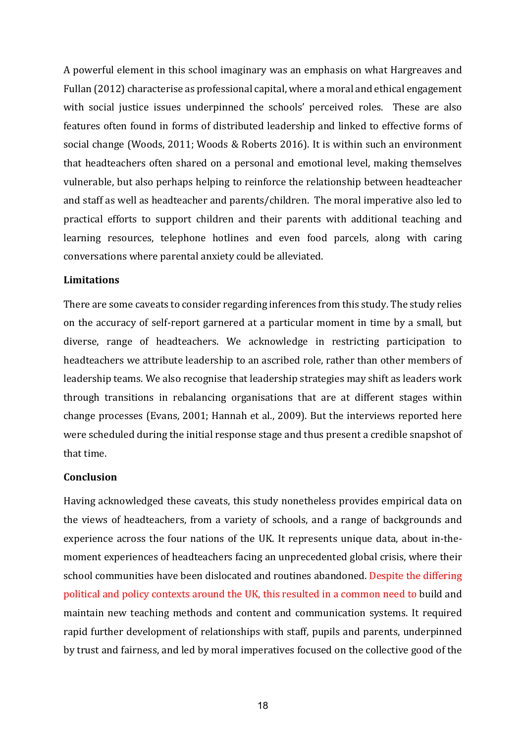A powerful element in this school imaginary was an emphasis on what Hargreaves and Fullan (2012) characterise as professional capital, where a moral and ethical engagement with social justice issues underpinned the schools' perceived roles. These are also features often found in forms of distributed leadership and linked to effective forms of social change (Woods, 2011; Woods & Roberts 2016). It is within such an environment that headteachers often shared on a personal and emotional level, making themselves vulnerable, but also perhaps helping to reinforce the relationship between headteacher and staff as well as headteacher and parents/children. The moral imperative also led to practical efforts to support children and their parents with additional teaching and learning resources, telephone hotlines and even food parcels, along with caring conversations where parental anxiety could be alleviated.

#### **Limitations**

There are some caveats to consider regarding inferences from this study. The study relies on the accuracy of self-report garnered at a particular moment in time by a small, but diverse, range of headteachers. We acknowledge in restricting participation to headteachers we attribute leadership to an ascribed role, rather than other members of leadership teams. We also recognise that leadership strategies may shift as leaders work through transitions in rebalancing organisations that are at different stages within change processes (Evans, 2001; Hannah et al., 2009). But the interviews reported here were scheduled during the initial response stage and thus present a credible snapshot of that time.

#### **Conclusion**

Having acknowledged these caveats, this study nonetheless provides empirical data on the views of headteachers, from a variety of schools, and a range of backgrounds and experience across the four nations of the UK. It represents unique data, about in-themoment experiences of headteachers facing an unprecedented global crisis, where their school communities have been dislocated and routines abandoned. Despite the differing political and policy contexts around the UK, this resulted in a common need to build and maintain new teaching methods and content and communication systems. It required rapid further development of relationships with staff, pupils and parents, underpinned by trust and fairness, and led by moral imperatives focused on the collective good of the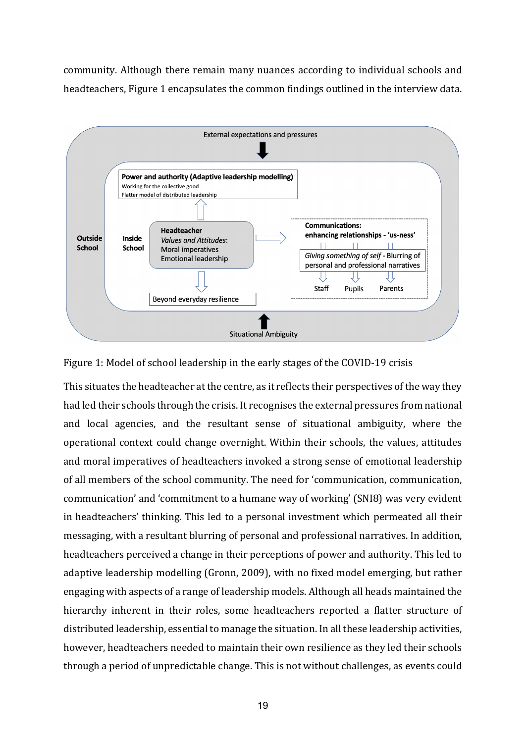community. Although there remain many nuances according to individual schools and headteachers, Figure 1 encapsulates the common findings outlined in the interview data.



Figure 1: Model of school leadership in the early stages of the COVID-19 crisis

This situates the headteacher at the centre, as it reflects their perspectives of the way they had led their schools through the crisis. It recognises the external pressures from national and local agencies, and the resultant sense of situational ambiguity, where the operational context could change overnight. Within their schools, the values, attitudes and moral imperatives of headteachers invoked a strong sense of emotional leadership of all members of the school community. The need for 'communication, communication, communication' and 'commitment to a humane way of working' (SNI8) was very evident in headteachers' thinking. This led to a personal investment which permeated all their messaging, with a resultant blurring of personal and professional narratives. In addition, headteachers perceived a change in their perceptions of power and authority. This led to adaptive leadership modelling (Gronn, 2009), with no fixed model emerging, but rather engaging with aspects of a range of leadership models. Although all heads maintained the hierarchy inherent in their roles, some headteachers reported a flatter structure of distributed leadership, essential to manage the situation. In all these leadership activities, however, headteachers needed to maintain their own resilience as they led their schools through a period of unpredictable change. This is not without challenges, as events could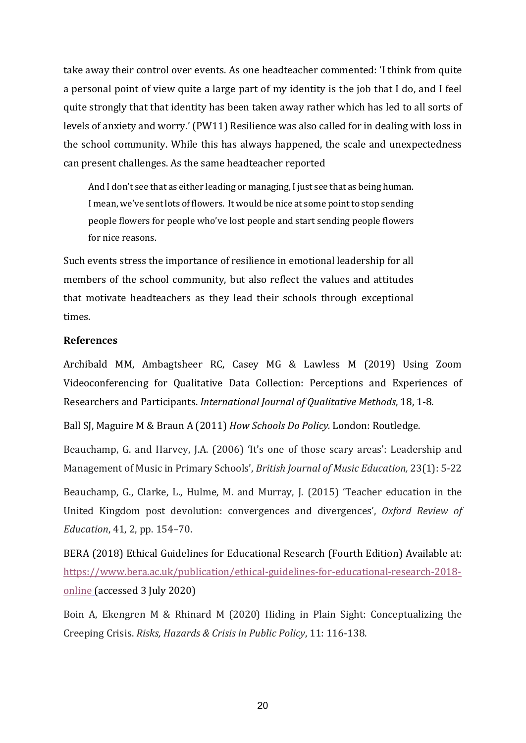take away their control over events. As one headteacher commented: 'I think from quite a personal point of view quite a large part of my identity is the job that I do, and I feel quite strongly that that identity has been taken away rather which has led to all sorts of levels of anxiety and worry.' (PW11) Resilience was also called for in dealing with loss in the school community. While this has always happened, the scale and unexpectedness can present challenges. As the same headteacher reported

And I don't see that as either leading or managing, I just see that as being human. I mean, we've sent lots of flowers. It would be nice at some point to stop sending people flowers for people who've lost people and start sending people flowers for nice reasons.

Such events stress the importance of resilience in emotional leadership for all members of the school community, but also reflect the values and attitudes that motivate headteachers as they lead their schools through exceptional times.

## **References**

Archibald MM, Ambagtsheer RC, Casey MG & Lawless M (2019) Using Zoom Videoconferencing for Qualitative Data Collection: Perceptions and Experiences of Researchers and Participants. *International Journal of Qualitative Methods*, 18, 1-8.

Ball SJ, Maguire M & Braun A (2011) *How Schools Do Policy.* London: Routledge.

Beauchamp, G. and Harvey, J.A. (2006) 'It's one of those scary areas': Leadership and Management of Music in Primary Schools', *British Journal of Music Education,* 23(1): 5-22

Beauchamp, G., Clarke, L., Hulme, M. and Murray, J. (2015) 'Teacher education in the United Kingdom post devolution: convergences and divergences', *Oxford Review of Education*, 41, 2, pp. 154–70.

BERA (2018) Ethical Guidelines for Educational Research (Fourth Edition) Available at[:](https://www.bera.ac.uk/publication/ethical-guidelines-for-educational-research-2018-online) [https://www.bera.ac.uk/publication/ethical-guidelines-for-educational-research-2018](https://www.bera.ac.uk/publication/ethical-guidelines-for-educational-research-2018-online) [online](https://www.bera.ac.uk/publication/ethical-guidelines-for-educational-research-2018-online) (accessed 3 July 2020)

Boin A, Ekengren M & Rhinard M (2020) Hiding in Plain Sight: Conceptualizing the Creeping Crisis. *Risks, Hazards & Crisis in Public Policy*, 11: 116-138.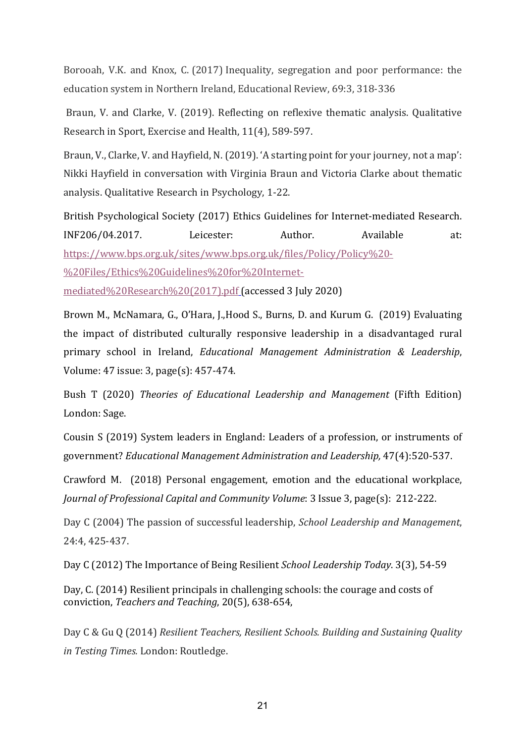Borooah, V.K. and Knox, C. (2017) Inequality, segregation and poor performance: the education system in Northern Ireland, Educational Review, 69:3, 318-336

Braun, V. and Clarke, V. (2019). Reflecting on reflexive thematic analysis. Qualitative Research in Sport, Exercise and Health, 11(4), 589-597.

Braun, V., Clarke, V. and Hayfield, N. (2019). 'A starting point for your journey, not a map': Nikki Hayfield in conversation with Virginia Braun and Victoria Clarke about thematic analysis. Qualitative Research in Psychology, 1-22.

British Psychological Society (2017) Ethics Guidelines for Internet-mediated Research. INF206/04.2017. Leicester: Author. Available at[:](https://www.bps.org.uk/sites/www.bps.org.uk/files/Policy/Policy%20-%20Files/Ethics%20Guidelines%20for%20Internet-mediated%20Research%20(2017).pdf) [https://www.bps.org.uk/sites/www.bps.org.uk/files/Policy/Policy%20-](https://www.bps.org.uk/sites/www.bps.org.uk/files/Policy/Policy%20-%20Files/Ethics%20Guidelines%20for%20Internet-mediated%20Research%20(2017).pdf) [%20Files/Ethics%20Guidelines%20for%20Internet](https://www.bps.org.uk/sites/www.bps.org.uk/files/Policy/Policy%20-%20Files/Ethics%20Guidelines%20for%20Internet-mediated%20Research%20(2017).pdf)[mediated%20Research%20\(2017\).pdf](https://www.bps.org.uk/sites/www.bps.org.uk/files/Policy/Policy%20-%20Files/Ethics%20Guidelines%20for%20Internet-mediated%20Research%20(2017).pdf) (accessed 3 July 2020)

Brown M., McNamara, G., O'Hara, J.,Hood S., Burns, D. and Kurum G. (2019) Evaluating the impact of distributed culturally responsive leadership in a disadvantaged rural primary school in Ireland, *Educational Management Administration & Leadership*, Volume: 47 issue: 3, page(s): 457-474.

Bush T (2020) *Theories of Educational Leadership and Management* (Fifth Edition) London: Sage.

Cousin S (2019) System leaders in England: Leaders of a profession, or instruments of government? *Educational Management Administration and Leadership,* 47(4):520-537.

Crawford M. (2018) Personal engagement, emotion and the educational workplace, *Journal of Professional Capital and Community Volume*: 3 Issue 3, page(s): 212-222.

Day C (2004) The passion of successful leadership, *School Leadership and Management*, 24:4, 425-437.

Day C (2012) The Importance of Being Resilient *School Leadership Today*. 3(3), 54-59

Day, C. (2014) Resilient principals in challenging schools: the courage and costs of conviction, *Teachers and Teaching*, 20(5), 638-654,

Day C & Gu Q (2014) *Resilient Teachers, Resilient Schools. Building and Sustaining Quality in Testing Times.* London: Routledge.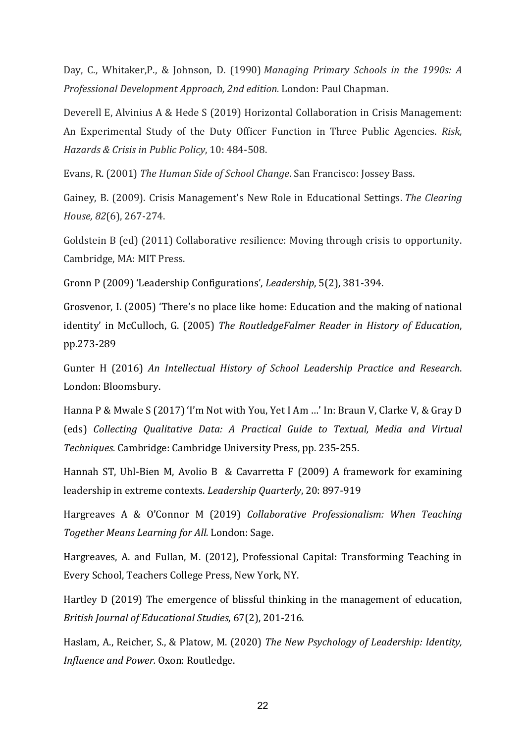Day, C., Whitaker,P., & Johnson, D. (1990) *Managing Primary Schools in the 1990s: A Professional Development Approach, 2nd edition.* London: Paul Chapman.

Deverell E, Alvinius A & Hede S (2019) Horizontal Collaboration in Crisis Management: An Experimental Study of the Duty Officer Function in Three Public Agencies. *Risk, Hazards & Crisis in Public Policy*, 10: 484-508.

Evans, R. (2001) *The Human Side of School Change*. San Francisco: Jossey Bass.

Gainey, B. (2009). Crisis Management's New Role in Educational Settings. *The Clearing House, 82*(6), 267-274.

Goldstein B (ed) (2011) Collaborative resilience: Moving through crisis to opportunity. Cambridge, MA: MIT Press.

Gronn P (2009) 'Leadership Configurations', *Leadership*, 5(2), 381-394.

Grosvenor, I. (2005) 'There's no place like home: Education and the making of national identity' in McCulloch, G. (2005) *The RoutledgeFalmer Reader in History of Education*, pp.273-289

Gunter H (2016) *An Intellectual History of School Leadership Practice and Research*. London: Bloomsbury.

Hanna P & Mwale S (2017) 'I'm Not with You, Yet I Am …' In: Braun V, Clarke V, & Gray D (eds) *Collecting Qualitative Data: A Practical Guide to Textual, Media and Virtual Techniques.* Cambridge: Cambridge University Press, pp. 235-255.

Hannah ST, Uhl-Bien M, Avolio B & Cavarretta F (2009) A framework for examining leadership in extreme contexts. *Leadership Quarterly*, 20: 897-919

Hargreaves A & O'Connor M (2019) *Collaborative Professionalism: When Teaching Together Means Learning for All.* London: Sage.

Hargreaves, A. and Fullan, M. (2012), Professional Capital: Transforming Teaching in Every School, Teachers College Press, New York, NY.

Hartley D (2019) The emergence of blissful thinking in the management of education, *British Journal of Educational Studies*, 67(2), 201-216.

Haslam, A., Reicher, S., & Platow, M. (2020) *The New Psychology of Leadership: Identity, Influence and Power.* Oxon: Routledge.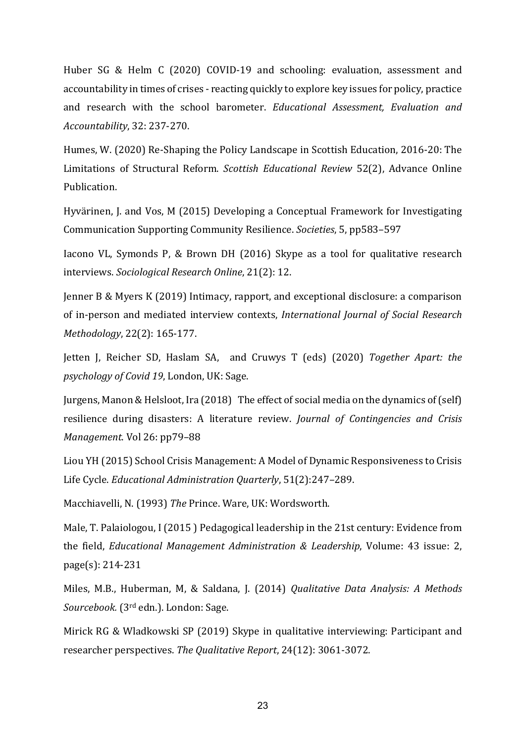Huber SG & Helm C (2020) COVID-19 and schooling: evaluation, assessment and accountability in times of crises - reacting quickly to explore key issues for policy, practice and research with the school barometer. *Educational Assessment, Evaluation and Accountability*, 32: 237-270.

Humes, W. (2020) Re-Shaping the Policy Landscape in Scottish Education, 2016-20: The Limitations of Structural Reform. *Scottish Educational Review* 52(2), Advance Online Publication.

Hyvärinen, J. and Vos, M (2015) Developing a Conceptual Framework for Investigating Communication Supporting Community Resilience. *Societies*, 5, pp583–597

Iacono VL, Symonds P, & Brown DH (2016) Skype as a tool for qualitative research interviews. *Sociological Research Online*, 21(2): 12.

Jenner B & Myers K (2019) Intimacy, rapport, and exceptional disclosure: a comparison of in-person and mediated interview contexts, *International Journal of Social Research Methodology*, 22(2): 165-177.

Jetten J, Reicher SD, Haslam SA, and Cruwys T (eds) (2020) *Together Apart: the psychology of Covid 19*, London, UK: Sage.

Jurgens, Manon & Helsloot, Ira (2018) The effect of social media on the dynamics of (self) resilience during disasters: A literature review. *Journal of Contingencies and Crisis Management*. Vol 26: pp79–88

Liou YH (2015) School Crisis Management: A Model of Dynamic Responsiveness to Crisis Life Cycle. *Educational Administration Quarterly*, 51(2):247–289.

Macchiavelli, N. (1993) *The* Prince. Ware, UK: Wordsworth.

Male, T. Palaiologou, I (2015 ) Pedagogical leadership in the 21st century: Evidence from the field, *Educational Management Administration & Leadership*, Volume: 43 issue: 2, page(s): 214-231

Miles, M.B., Huberman, M, & Saldana, J. (2014) *Qualitative Data Analysis: A Methods Sourcebook.* (3rd edn.). London: Sage.

Mirick RG & Wladkowski SP (2019) Skype in qualitative interviewing: Participant and researcher perspectives. *The Qualitative Report*, 24(12): 3061-3072.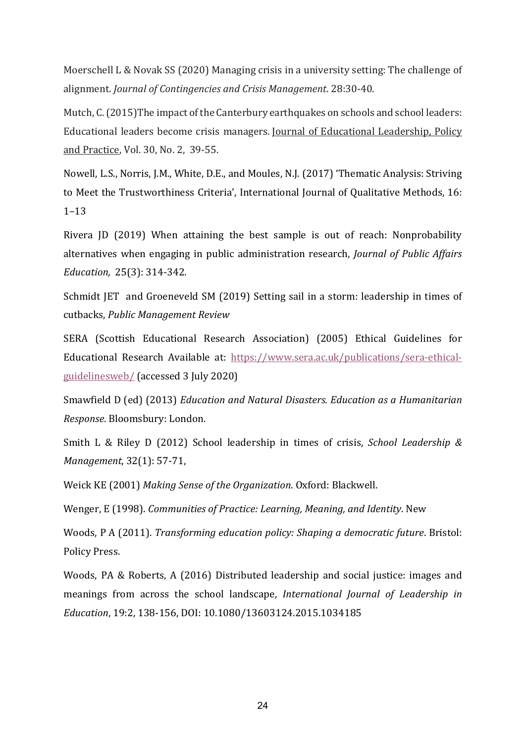Moerschell L & Novak SS (2020) Managing crisis in a university setting: The challenge of alignment. *Journal of Contingencies and Crisis Management*. 28:30-40.

Mutch, C. (2015)The impact of the Canterbury earthquakes on schools and school leaders: Educational leaders become crisis managers. Journal of Educational Leadership, Policy and Practice, Vol. 30, No. 2, 39-55.

Nowell, L.S., Norris, J.M., White, D.E., and Moules, N.J. (2017) 'Thematic Analysis: Striving to Meet the Trustworthiness Criteria', International Journal of Qualitative Methods, 16: 1–13

Rivera JD (2019) When attaining the best sample is out of reach: Nonprobability alternatives when engaging in public administration research, *Journal of Public Affairs Education,* 25(3): 314-342.

Schmidt JET and Groeneveld SM (2019) Setting sail in a storm: leadership in times of cutbacks, *Public Management Review*

SERA (Scottish Educational Research Association) (2005) Ethical Guidelines for Educational Research Available at[:](https://www.sera.ac.uk/publications/sera-ethical-guidelinesweb/) [https://www.sera.ac.uk/publications/sera-ethical](https://www.sera.ac.uk/publications/sera-ethical-guidelinesweb/)[guidelinesweb/](https://www.sera.ac.uk/publications/sera-ethical-guidelinesweb/) (accessed 3 July 2020)

Smawfield D (ed) (2013) *Education and Natural Disasters. Education as a Humanitarian Response*. Bloomsbury: London.

Smith L & Riley D (2012) School leadership in times of crisis, *School Leadership & Management*, 32(1): 57-71,

Weick KE (2001) *Making Sense of the Organization*. Oxford: Blackwell.

Wenger, E (1998). *Communities of Practice: Learning, Meaning, and Identity*. New

Woods, P A (2011). *Transforming education policy: Shaping a democratic future*. Bristol: Policy Press.

Woods, PA & Roberts, A (2016) Distributed leadership and social justice: images and meanings from across the school landscape, *International Journal of Leadership in Education*, 19:2, 138-156, DOI: 10.1080/13603124.2015.1034185